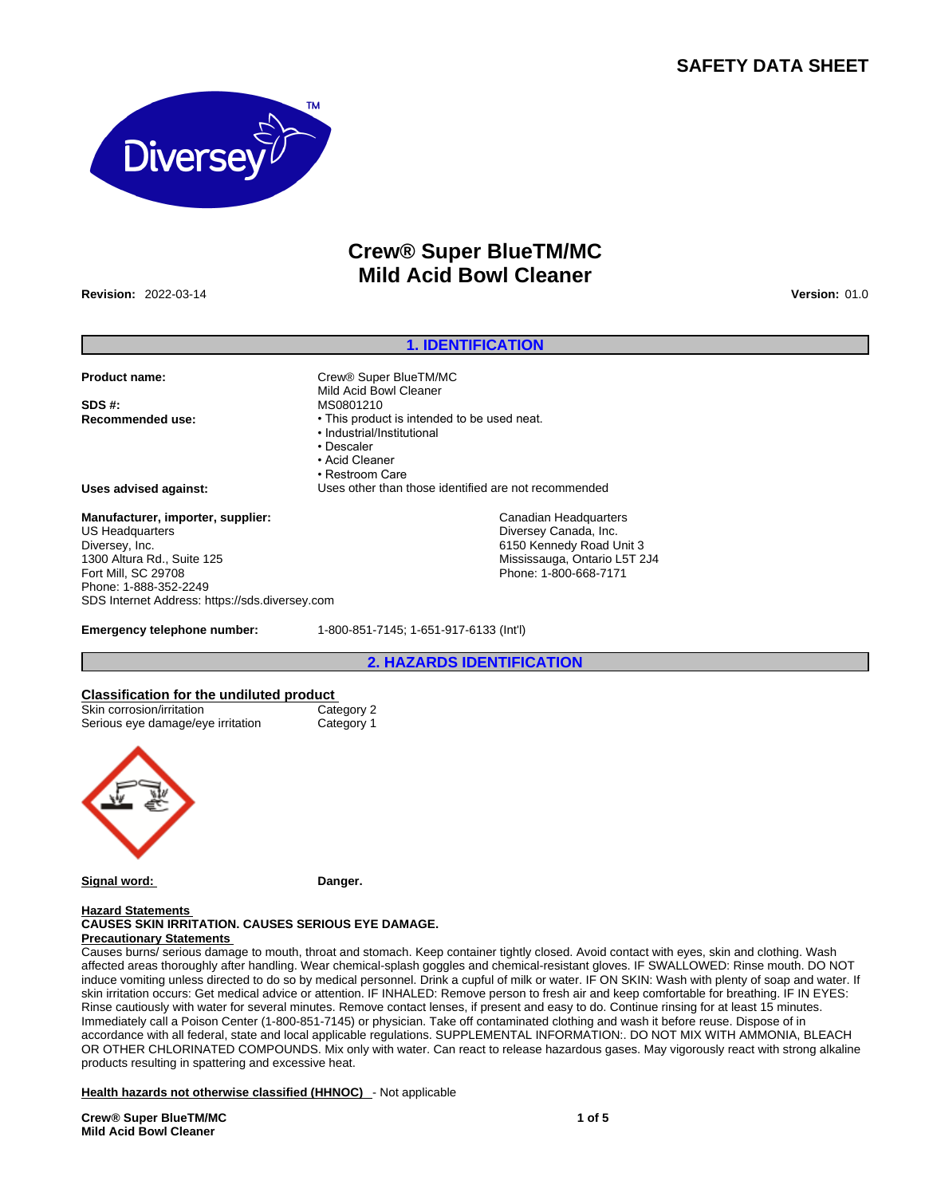# **SAFETY DATA SHEET**



# **Crew® Super BlueTM/MC Mild Acid Bowl Cleaner**

**1. IDENTIFICATION**

**Revision:** 2022-03-14 **Version:** 01.0

#### **Product name:** Crew® Super BlueTM/MC

**SDS #:** MS0801210 **Recommended use:** • This product is intended to be used neat.

# • Industrial/Institutional

Mild Acid Bowl Cleaner

- Descaler
- Acid Cleaner
- Restroom Care
- 
- **Uses advised against:** Uses other than those identified are not recommended

# **Manufacturer, importer, supplier:** US Headquarters Diversey, Inc.

1300 Altura Rd., Suite 125 Fort Mill, SC 29708 Phone: 1-888-352-2249 SDS Internet Address: https://sds.diversey.com

**Emergency telephone number:** 1-800-851-7145; 1-651-917-6133 (Int'l)

# **2. HAZARDS IDENTIFICATION**

Canadian Headquarters Diversey Canada, Inc. 6150 Kennedy Road Unit 3 Mississauga, Ontario L5T 2J4 Phone: 1-800-668-7171

# **Classification for the undiluted product** Skin corrosion/irritation Serious eye damage/eye irritation Category 1



**Signal word:** Danger.

## **Hazard Statements**

#### **CAUSES SKIN IRRITATION. CAUSES SERIOUS EYE DAMAGE. Precautionary Statements**

Causes burns/ serious damage to mouth, throat and stomach. Keep container tightly closed. Avoid contact with eyes, skin and clothing. Wash affected areas thoroughly after handling. Wear chemical-splash goggles and chemical-resistant gloves. IF SWALLOWED: Rinse mouth. DO NOT induce vomiting unless directed to do so by medical personnel. Drink a cupful of milk or water. IF ON SKIN: Wash with plenty of soap and water. If skin irritation occurs: Get medical advice or attention. IF INHALED: Remove person to fresh air and keep comfortable for breathing. IF IN EYES: Rinse cautiously with water for several minutes. Remove contact lenses, if present and easy to do. Continue rinsing for at least 15 minutes. Immediately call a Poison Center (1-800-851-7145) or physician. Take off contaminated clothing and wash it before reuse. Dispose of in accordance with all federal, state and local applicable regulations. SUPPLEMENTAL INFORMATION:. DO NOT MIX WITH AMMONIA, BLEACH OR OTHER CHLORINATED COMPOUNDS. Mix only with water. Can react to release hazardous gases. May vigorously react with strong alkaline products resulting in spattering and excessive heat.

**Health hazards not otherwise classified (HHNOC)** - Not applicable

**Crew® Super BlueTM/MC Mild Acid Bowl Cleaner**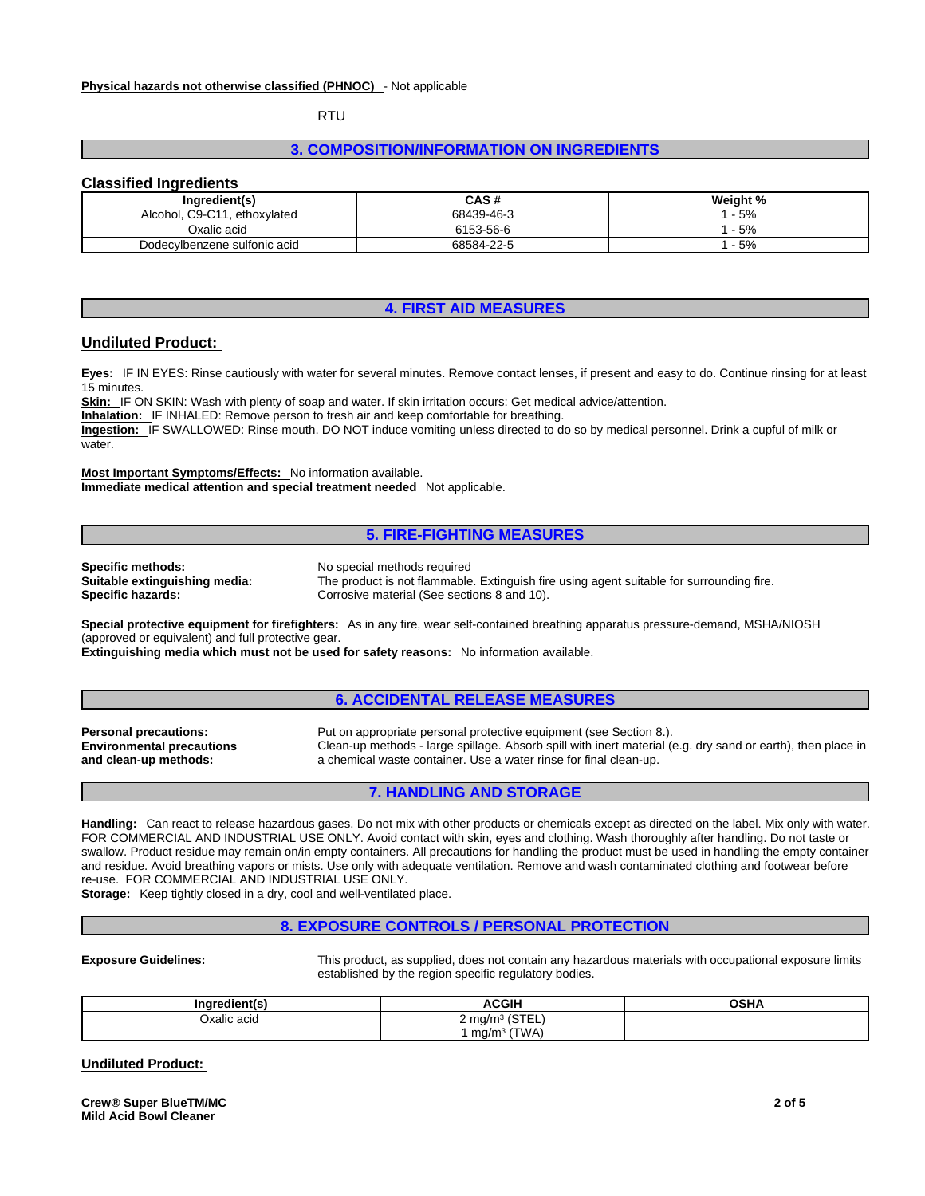RTU

# **3. COMPOSITION/INFORMATION ON INGREDIENTS**

### **Classified Ingredients**

| Ingredient(s)                  | <b>CAS#</b> | Weight % |
|--------------------------------|-------------|----------|
| Alcohol, C9-C11<br>ethoxylated | 68439-46-3  | $-5%$    |
| Oxalic acid                    | 6153-56-6   | $-5%$    |
| Dodecylbenzene sulfonic acid   | 68584-22-5  | $-5%$    |

# **4. FIRST AID MEASURES**

## **Undiluted Product:**

**Eyes:** IF IN EYES: Rinse cautiously with water for several minutes. Remove contact lenses, if present and easy to do. Continue rinsing for at least 15 minutes.

**Skin:** IF ON SKIN: Wash with plenty of soap and water. If skin irritation occurs: Get medical advice/attention.

**Inhalation:** IF INHALED: Remove person to fresh air and keep comfortable for breathing.

Ingestion: IF SWALLOWED: Rinse mouth. DO NOT induce vomiting unless directed to do so by medical personnel. Drink a cupful of milk or water.

**Most Important Symptoms/Effects:** No information available. **Immediate medical attention and special treatment needed** Not applicable.

#### **5. FIRE-FIGHTING MEASURES**

**Specific methods:** No special methods required

**Suitable extinguishing media:** The product is not flammable. Extinguish fire using agent suitable for surrounding fire.<br> **Specific hazards:** Corrosive material (See sections 8 and 10). Corrosive material (See sections 8 and 10).

**Special protective equipment for firefighters:** As in any fire, wear self-contained breathing apparatus pressure-demand, MSHA/NIOSH (approved or equivalent) and full protective gear.

**Extinguishing media which must not be used for safety reasons:** No information available.

#### **6. ACCIDENTAL RELEASE MEASURES**

**Environmental precautions and clean-up methods:** 

**Personal precautions:** Put on appropriate personal protective equipment (see Section 8.). Clean-up methods - large spillage. Absorb spill with inert material (e.g. dry sand or earth), then place in a chemical waste container. Use a water rinse for final clean-up.

# **7. HANDLING AND STORAGE**

**Handling:** Can react to release hazardous gases. Do not mix with other products or chemicals except as directed on the label. Mix only with water. FOR COMMERCIAL AND INDUSTRIAL USE ONLY. Avoid contact with skin, eyes and clothing. Wash thoroughly after handling. Do not taste or swallow. Product residue may remain on/in empty containers. All precautions for handling the product must be used in handling the empty container and residue. Avoid breathing vapors or mists. Use only with adequate ventilation. Remove and wash contaminated clothing and footwear before re-use. FOR COMMERCIAL AND INDUSTRIAL USE ONLY.

**Storage:** Keep tightly closed in a dry, cool and well-ventilated place.

# **8. EXPOSURE CONTROLS / PERSONAL PROTECTION**

**Exposure Guidelines:** This product, as supplied, does not contain any hazardous materials with occupational exposure limits established by the region specific regulatory bodies.

| --<br>norodionti.<br>ına<br>оне | ACGIH                                     | <b>OSHA</b> |
|---------------------------------|-------------------------------------------|-------------|
| Jxalic acid<br>.                | $\sqrt{C}$<br>$2 \text{ mq/m}^3$<br>بمسال |             |
|                                 | (TWA)<br>ma/m <sup>3</sup>                |             |

### **Undiluted Product:**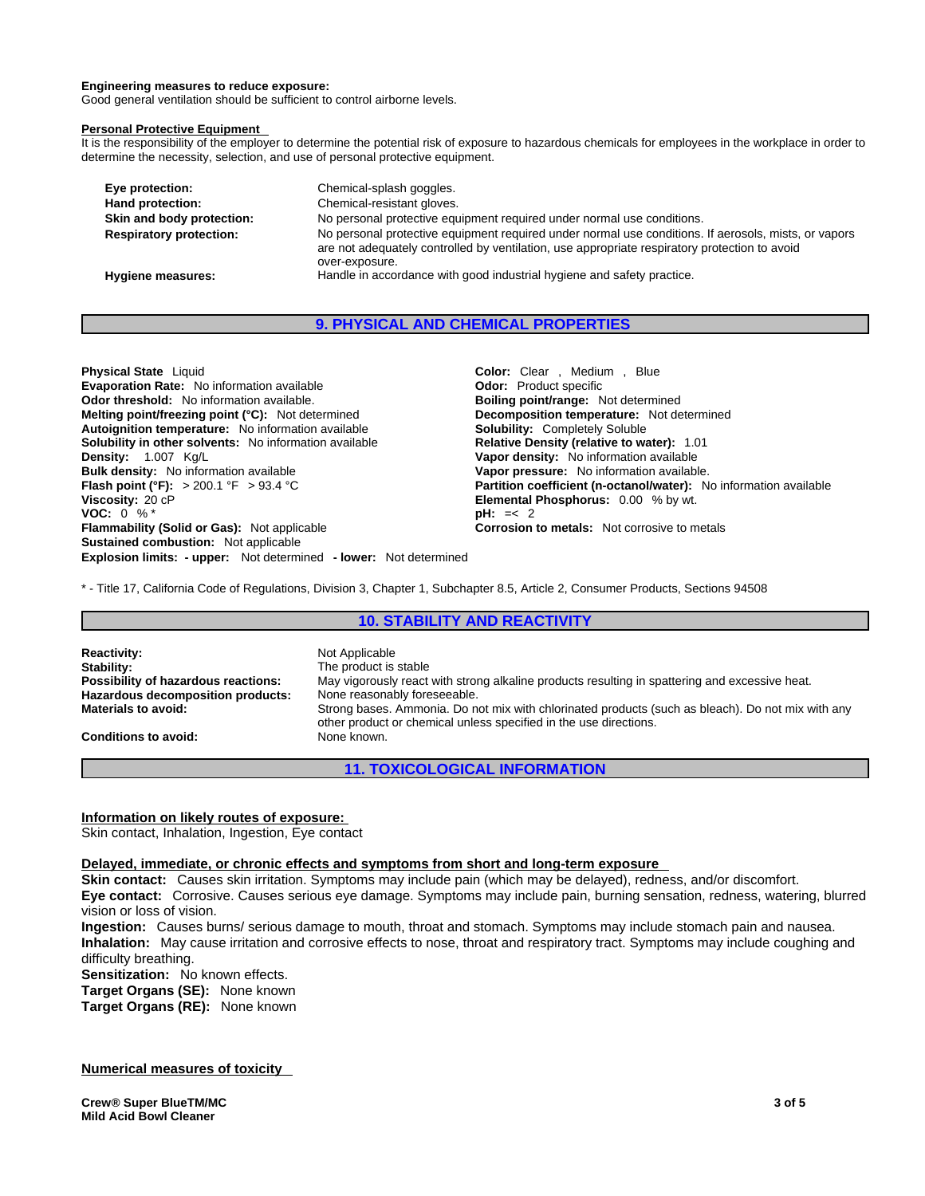#### **Engineering measures to reduce exposure:**

Good general ventilation should be sufficient to control airborne levels.

#### **Personal Protective Equipment**

It is the responsibility of the employer to determine the potential risk of exposure to hazardous chemicals for employees in the workplace in order to determine the necessity, selection, and use of personal protective equipment.

| Eye protection:                | Chemical-splash goggles.                                                                                                                                                                                                |
|--------------------------------|-------------------------------------------------------------------------------------------------------------------------------------------------------------------------------------------------------------------------|
| Hand protection:               | Chemical-resistant gloves.                                                                                                                                                                                              |
| Skin and body protection:      | No personal protective equipment required under normal use conditions.                                                                                                                                                  |
| <b>Respiratory protection:</b> | No personal protective equipment required under normal use conditions. If aerosols, mists, or vapors<br>are not adequately controlled by ventilation, use appropriate respiratory protection to avoid<br>over-exposure. |
| Hygiene measures:              | Handle in accordance with good industrial hygiene and safety practice.                                                                                                                                                  |

# **9. PHYSICAL AND CHEMICAL PROPERTIES**

**Explosion limits: - upper:** Not determined **- lower:** Not determined **Physical State** Liquid **Color:** Clear , Medium , Blue **Evaporation Rate:** No information available **Connect Section Codor:** Product specific<br> **Odor threshold:** No information available. **Connect Section Section Boiling point/range:** Not determined **Odor threshold:** No information available. **Boiling point/range: Not determined Melting point/freezing point (°C):** Not determined **Boiling point/range:** Not determined **Melting point/freezing point (°C):** Not determined **Autoignition temperature:** No information available **Solubility:** Completely Soluble **Solubility in other solvents: No information available Density:** 1.007 Kg/L<br> **Bulk density:** No information available<br> **Bulk density:** No information available.<br> **Vapor pressure:** No information available. **Bulk density:** No information available<br>**Flash point (°F):** > 200.1 °F > 93.4 °C **Flash point (°F):** > 200.1 °F > 93.4 °C **Partition coefficient (n-octanol/water):** No information available **Viscosity:** 20 cP<br> **Partition coefficient (n-octanol/water):** No information available<br> **Partition coefficient ( VOC:** 0 % \* **pH:** =< 2 **Flammability (Solid or Gas):** Not applicable **Corrosion to metals:** Not corrosive to metals **Sustained combustion:** Not applicable

**Elemental Phosphorus:** 0.00 % by wt.

\* - Title 17, California Code of Regulations, Division 3, Chapter 1, Subchapter 8.5, Article 2, Consumer Products, Sections 94508

# **10. STABILITY AND REACTIVITY**

**Reactivity: Not Applicable**<br> **Stability:** The product is **Stability:** The product is stable<br> **Possibility of hazardous reactions:** May vigorously react May vigorously react with strong alkaline products resulting in spattering and excessive heat.<br>None reasonably foreseeable. **Hazardous decomposition products: Materials to avoid:** Strong bases. Ammonia. Do not mix with chlorinated products (such as bleach). Do not mix with any other product or chemical unless specified in the use directions. **Conditions to avoid:** None known.

**11. TOXICOLOGICAL INFORMATION**

#### **Information on likely routes of exposure:**

Skin contact, Inhalation, Ingestion, Eye contact

#### **Delayed, immediate, or chronic effects and symptoms from short and long-term exposure**

**Skin contact:** Causes skin irritation. Symptoms may include pain (which may be delayed), redness, and/or discomfort.

**Eye contact:** Corrosive. Causes serious eye damage. Symptoms may include pain, burning sensation, redness, watering, blurred vision or loss of vision.

**Ingestion:** Causes burns/ serious damage to mouth, throat and stomach. Symptoms may include stomach pain and nausea. **Inhalation:** May cause irritation and corrosive effects to nose, throat and respiratory tract. Symptoms may include coughing and difficulty breathing.

**Sensitization:** No known effects.

**Target Organs (SE):** None known

**Target Organs (RE):** None known

#### **Numerical measures of toxicity**

**Crew® Super BlueTM/MC Mild Acid Bowl Cleaner**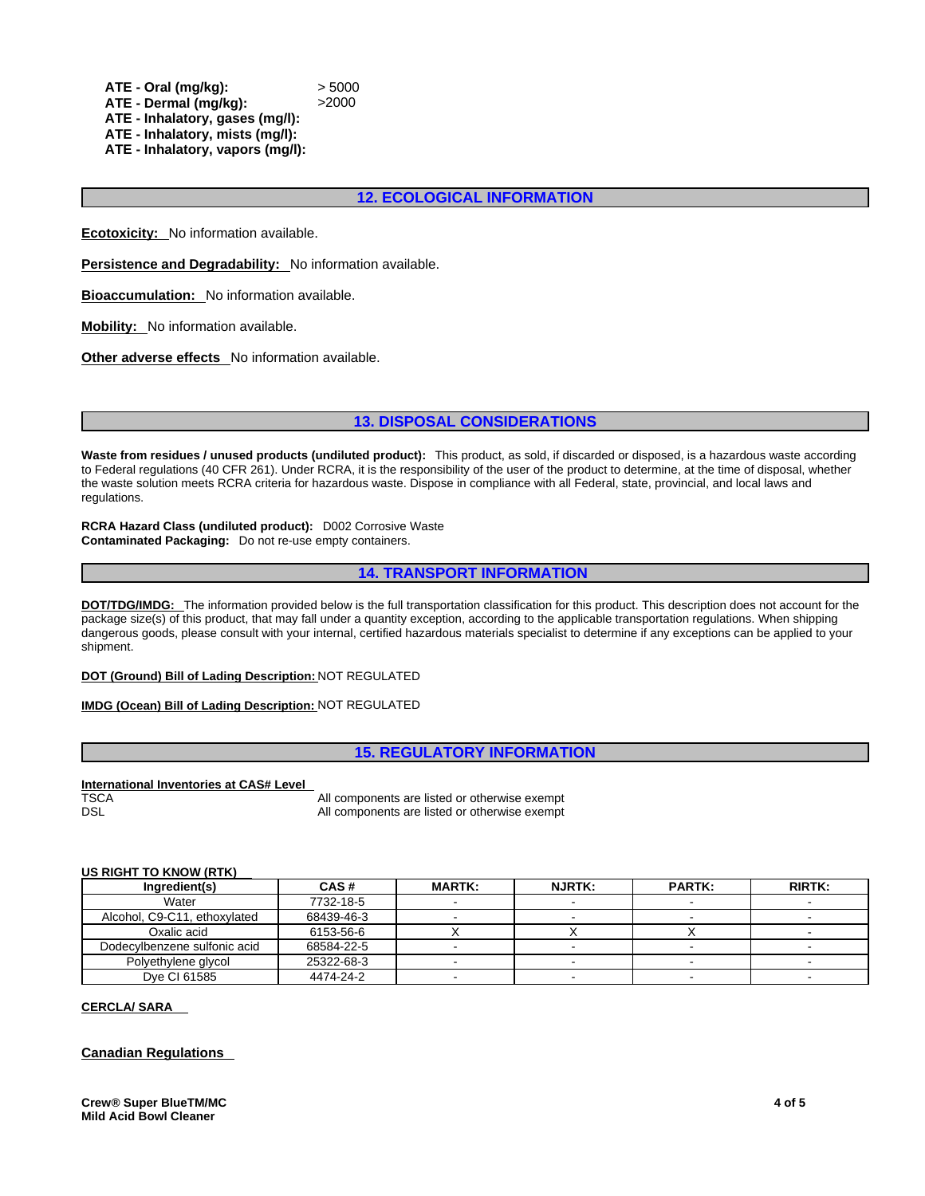**ATE - Oral (mg/kg):** > 5000 **ATE - Dermal (mg/kg):** >2000 **ATE - Inhalatory, gases (mg/l): ATE - Inhalatory, mists (mg/l): ATE - Inhalatory, vapors (mg/l):**

**12. ECOLOGICAL INFORMATION**

**Ecotoxicity:** No information available.

**Persistence and Degradability:** No information available.

**Bioaccumulation:** No information available.

**Mobility:** No information available.

**Other adverse effects** No information available.

#### **13. DISPOSAL CONSIDERATIONS**

**Waste from residues / unused products (undiluted product):** This product, as sold, if discarded or disposed, is a hazardous waste according to Federal regulations (40 CFR 261). Under RCRA, it is the responsibility of the user of the product to determine, at the time of disposal, whether the waste solution meets RCRA criteria for hazardous waste. Dispose in compliance with all Federal, state, provincial, and local laws and regulations.

**RCRA Hazard Class (undiluted product):** D002 Corrosive Waste **Contaminated Packaging:** Do not re-use empty containers.

**14. TRANSPORT INFORMATION**

**DOT/TDG/IMDG:** The information provided below is the full transportation classification for this product. This description does not account for the package size(s) of this product, that may fall under a quantity exception, according to the applicable transportation regulations. When shipping dangerous goods, please consult with your internal, certified hazardous materials specialist to determine if any exceptions can be applied to your shipment.

#### **DOT (Ground) Bill of Lading Description:** NOT REGULATED

**IMDG (Ocean) Bill of Lading Description:** NOT REGULATED

# **15. REGULATORY INFORMATION**

#### **International Inventories at CAS# Level**

TSCA TSCA **All components are listed or otherwise exempt** DSL DSL **DISL COMPONENTS** All components are listed or otherwise exempt

#### **US RIGHT TO KNOW (RTK)**

| Ingredient(s)                | CAS#       | <b>MARTK:</b> | <b>NJRTK:</b> | <b>PARTK:</b> | <b>RIRTK:</b> |
|------------------------------|------------|---------------|---------------|---------------|---------------|
| Water                        | 7732-18-5  |               |               |               |               |
| Alcohol, C9-C11, ethoxylated | 68439-46-3 |               |               |               |               |
| Oxalic acid                  | 6153-56-6  |               |               |               |               |
| Dodecylbenzene sulfonic acid | 68584-22-5 |               |               |               |               |
| Polyethylene glycol          | 25322-68-3 |               |               |               |               |
| Dve CI 61585                 | 4474-24-2  |               |               |               |               |

#### **CERCLA/ SARA**

## **Canadian Regulations**